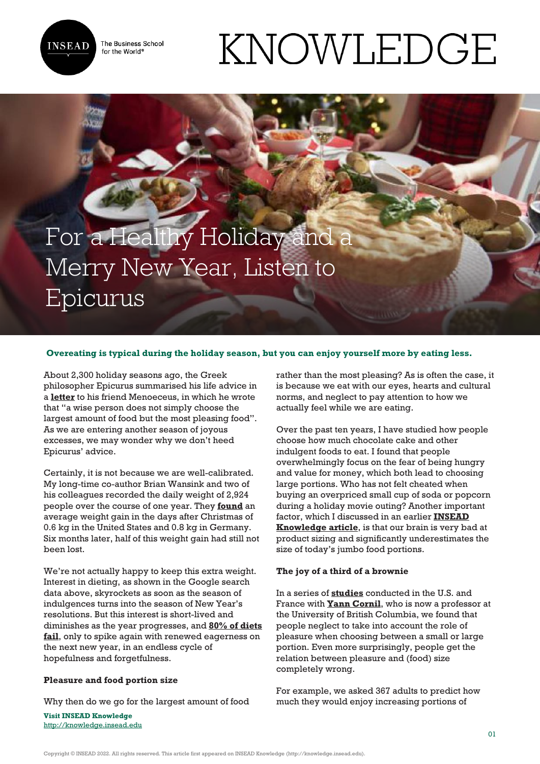

The Business School for the World<sup>®</sup>

# For a Healthy Holiday and a Merry New Year, Listen to Epicurus

## **Overeating is typical during the holiday season, but you can enjoy yourself more by eating less.**

About 2,300 holiday seasons ago, the Greek philosopher Epicurus summarised his life advice in a **[letter](http://www.philosophicalgarden.com/wp/texts/epicurus/letter-to-menoeceus/)** to his friend Menoeceus, in which he wrote that "a wise person does not simply choose the largest amount of food but the most pleasing food". As we are entering another season of joyous excesses, we may wonder why we don't heed Epicurus' advice.

Certainly, it is not because we are well-calibrated. My long-time co-author Brian Wansink and two of his colleagues recorded the daily weight of 2,924 people over the course of one year. They **[found](http://www.nejm.org/doi/full/10.1056/NEJMc1602012#t=article)** an average weight gain in the days after Christmas of 0.6 kg in the United States and 0.8 kg in Germany. Six months later, half of this weight gain had still not been lost.

We're not actually happy to keep this extra weight. Interest in dieting, as shown in the Google search data above, skyrockets as soon as the season of indulgences turns into the season of New Year's resolutions. But this interest is short-lived and diminishes as the year progresses, and **[80% of diets](http://ajcn.nutrition.org/content/82/1/222S.short) [fail](http://ajcn.nutrition.org/content/82/1/222S.short)**, only to spike again with renewed eagerness on the next new year, in an endless cycle of hopefulness and forgetfulness.

## **Pleasure and food portion size**

Why then do we go for the largest amount of food

**Visit INSEAD Knowledge** <http://knowledge.insead.edu> rather than the most pleasing? As is often the case, it is because we eat with our eyes, hearts and cultural norms, and neglect to pay attention to how we actually feel while we are eating.

KNOWLEDGE

Over the past ten years, I have studied how people choose how much chocolate cake and other indulgent foods to eat. I found that people overwhelmingly focus on the fear of being hungry and value for money, which both lead to choosing large portions. Who has not felt cheated when buying an overpriced small cup of soda or popcorn during a holiday movie outing? Another important factor, which I discussed in an earlier **[INSEAD](http://knowledge.insead.edu/blog/insead-blog/how-focusing-on-the-pleasure-of-eating-can-reduce-obesity-3872#6IXuLfSRI1393fcQ.99) [Knowledge article](http://knowledge.insead.edu/blog/insead-blog/how-focusing-on-the-pleasure-of-eating-can-reduce-obesity-3872#6IXuLfSRI1393fcQ.99)**, is that our brain is very bad at product sizing and significantly underestimates the size of today's jumbo food portions.

### **The joy of a third of a brownie**

In a series of **[studies](http://faculty.insead.edu/pierre-chandon/documents/Articles/Cornil%20Chandon%20Epicurean%20eating%20Appetite%202016.pdf)** conducted in the U.S. and France with **[Yann Cornil](http://www.yanncornil.com/)**, who is now a professor at the University of British Columbia, we found that people neglect to take into account the role of pleasure when choosing between a small or large portion. Even more surprisingly, people get the relation between pleasure and (food) size completely wrong.

For example, we asked 367 adults to predict how much they would enjoy increasing portions of

Copyright © INSEAD 2022. All rights reserved. This article first appeared on INSEAD Knowledge (http://knowledge.insead.edu).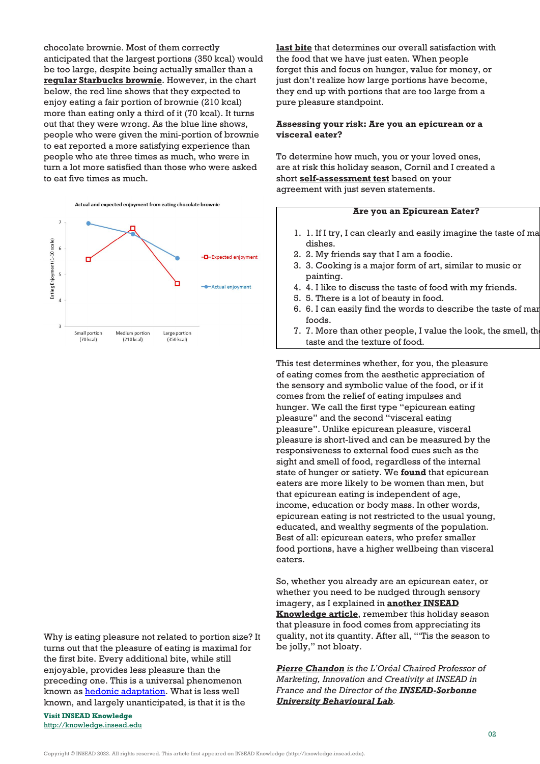chocolate brownie. Most of them correctly anticipated that the largest portions (350 kcal) would be too large, despite being actually smaller than a **[regular Starbucks brownie](https://www.starbucks.com/menu/food/bakery/double-chocolate-brownie)**. However, in the chart below, the red line shows that they expected to enjoy eating a fair portion of brownie (210 kcal) more than eating only a third of it (70 kcal). It turns out that they were wrong. As the blue line shows, people who were given the mini-portion of brownie to eat reported a more satisfying experience than people who ate three times as much, who were in turn a lot more satisfied than those who were asked to eat five times as much.





Why is eating pleasure not related to portion size? It turns out that the pleasure of eating is maximal for the first bite. Every additional bite, while still enjoyable, provides less pleasure than the preceding one. This is a universal phenomenon known as **hedonic adaptation**. What is less well known, and largely unanticipated, is that it is the

**Visit INSEAD Knowledge** <http://knowledge.insead.edu> **[last bite](http://pss.sagepub.com/content/early/2014/06/02/0956797614534268.abstract)** that determines our overall satisfaction with the food that we have just eaten. When people forget this and focus on hunger, value for money, or just don't realize how large portions have become, they end up with portions that are too large from a pure pleasure standpoint.

### **Assessing your risk: Are you an epicurean or a visceral eater?**

To determine how much, you or your loved ones, are at risk this holiday season, Cornil and I created a short **[self-assessment test](https://insead.eu.qualtrics.com/jfe/form/SV_7UlHdjJvgEs7qcd)** based on your agreement with just seven statements.

#### **Are you an Epicurean Eater?**

- 1. 1. If I try, I can clearly and easily imagine the taste of ma dishes.
- 2. 2. My friends say that I am a foodie.
- 3. 3. Cooking is a major form of art, similar to music or painting.
- 4. 4. I like to discuss the taste of food with my friends.
- 5. 5. There is a lot of beauty in food.
- 6. 6. I can easily find the words to describe the taste of many foods.
- 7. 7. More than other people, I value the look, the smell, the taste and the texture of food.

This test determines whether, for you, the pleasure of eating comes from the aesthetic appreciation of the sensory and symbolic value of the food, or if it comes from the relief of eating impulses and hunger. We call the first type "epicurean eating pleasure" and the second "visceral eating pleasure". Unlike epicurean pleasure, visceral pleasure is short-lived and can be measured by the responsiveness to external food cues such as the sight and smell of food, regardless of the internal state of hunger or satiety. We **[found](http://faculty.insead.edu/pierre-chandon/documents/Articles/Cornil%20Chandon%20Epicurean%20eating%20Appetite%202016.pdf)** that epicurean eaters are more likely to be women than men, but that epicurean eating is independent of age, income, education or body mass. In other words, epicurean eating is not restricted to the usual young, educated, and wealthy segments of the population. Best of all: epicurean eaters, who prefer smaller food portions, have a higher wellbeing than visceral eaters.

So, whether you already are an epicurean eater, or whether you need to be nudged through sensory imagery, as I explained in **[another INSEAD](http://knowledge.insead.edu/customers/how-to-get-people-to-pay-for-smaller-portions-4349#IurtLyDddJC57fs5.99) [Knowledge article](http://knowledge.insead.edu/customers/how-to-get-people-to-pay-for-smaller-portions-4349#IurtLyDddJC57fs5.99)**, remember this holiday season that pleasure in food comes from appreciating its quality, not its quantity. After all, "'Tis the season to be jolly," not bloaty.

*[Pierre Chandon](https://www.insead.edu/facultyresearch/faculty/profiles/pchandon/) is the L'Oréal Chaired Professor of Marketing, Innovation and Creativity at INSEAD in France and the Director of the [INSEAD-Sorbonne](http://centres.insead.edu/sorbonne-behavioural-lab/eng/) [University Behavioural Lab](http://centres.insead.edu/sorbonne-behavioural-lab/eng/).*

Copyright © INSEAD 2022. All rights reserved. This article first appeared on INSEAD Knowledge (http://knowledge.insead.edu).